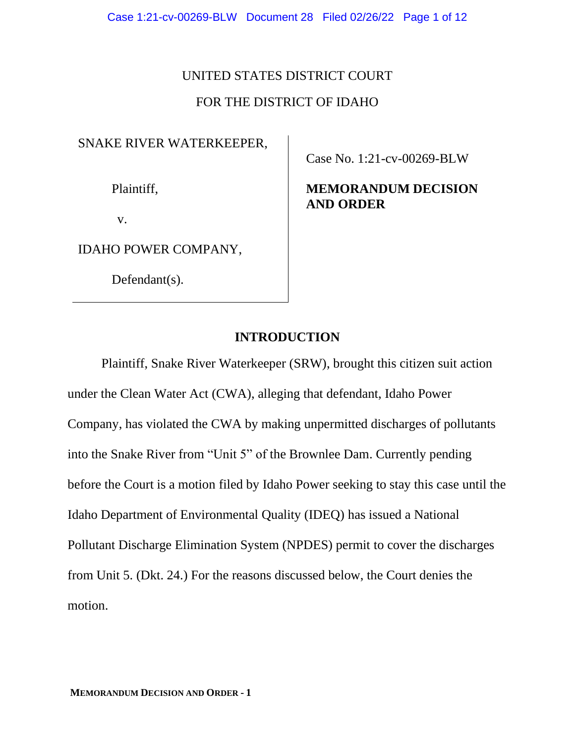### UNITED STATES DISTRICT COURT

### FOR THE DISTRICT OF IDAHO

## SNAKE RIVER WATERKEEPER,

Plaintiff,

v.

IDAHO POWER COMPANY,

Defendant(s).

Case No. 1:21-cv-00269-BLW

# **MEMORANDUM DECISION AND ORDER**

### **INTRODUCTION**

Plaintiff, Snake River Waterkeeper (SRW), brought this citizen suit action under the Clean Water Act (CWA), alleging that defendant, Idaho Power Company, has violated the CWA by making unpermitted discharges of pollutants into the Snake River from "Unit 5" of the Brownlee Dam. Currently pending before the Court is a motion filed by Idaho Power seeking to stay this case until the Idaho Department of Environmental Quality (IDEQ) has issued a National Pollutant Discharge Elimination System (NPDES) permit to cover the discharges from Unit 5. (Dkt. 24.) For the reasons discussed below, the Court denies the motion.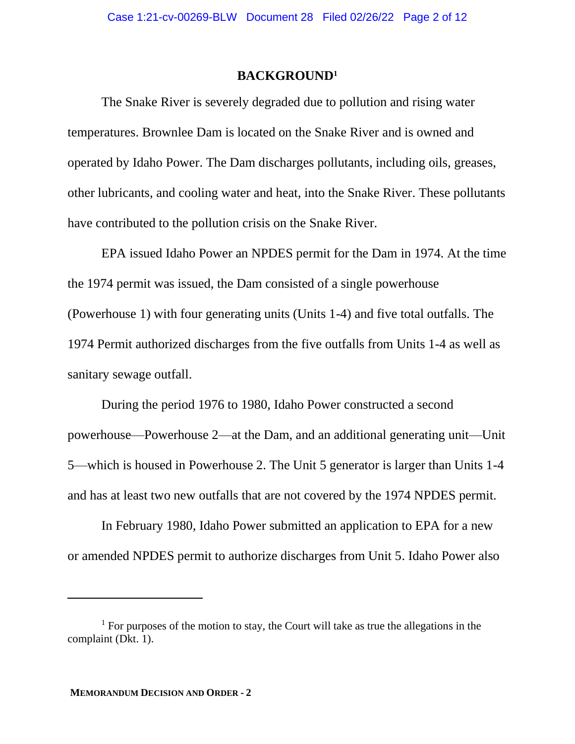#### **BACKGROUND<sup>1</sup>**

The Snake River is severely degraded due to pollution and rising water temperatures. Brownlee Dam is located on the Snake River and is owned and operated by Idaho Power. The Dam discharges pollutants, including oils, greases, other lubricants, and cooling water and heat, into the Snake River. These pollutants have contributed to the pollution crisis on the Snake River.

EPA issued Idaho Power an NPDES permit for the Dam in 1974. At the time the 1974 permit was issued, the Dam consisted of a single powerhouse (Powerhouse 1) with four generating units (Units 1-4) and five total outfalls. The 1974 Permit authorized discharges from the five outfalls from Units 1-4 as well as sanitary sewage outfall.

During the period 1976 to 1980, Idaho Power constructed a second powerhouse—Powerhouse 2—at the Dam, and an additional generating unit—Unit 5—which is housed in Powerhouse 2. The Unit 5 generator is larger than Units 1-4 and has at least two new outfalls that are not covered by the 1974 NPDES permit.

In February 1980, Idaho Power submitted an application to EPA for a new or amended NPDES permit to authorize discharges from Unit 5. Idaho Power also

 $<sup>1</sup>$  For purposes of the motion to stay, the Court will take as true the allegations in the</sup> complaint (Dkt. 1).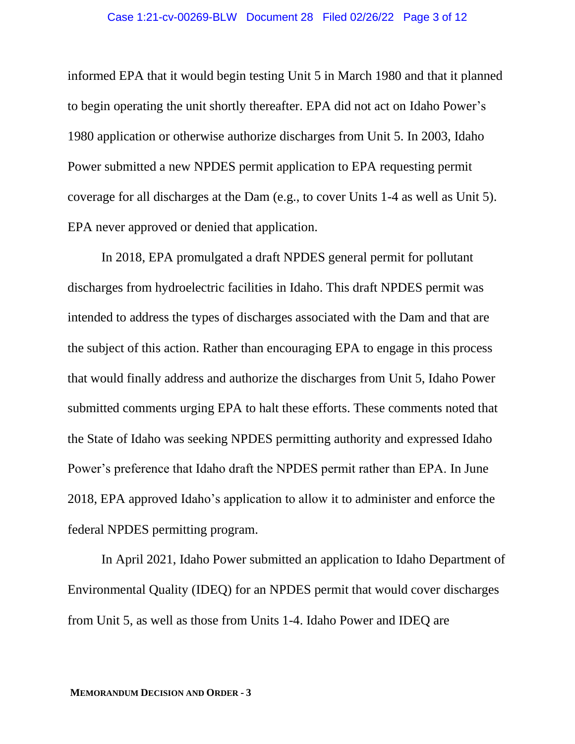informed EPA that it would begin testing Unit 5 in March 1980 and that it planned to begin operating the unit shortly thereafter. EPA did not act on Idaho Power's 1980 application or otherwise authorize discharges from Unit 5. In 2003, Idaho Power submitted a new NPDES permit application to EPA requesting permit coverage for all discharges at the Dam (e.g., to cover Units 1-4 as well as Unit 5). EPA never approved or denied that application.

In 2018, EPA promulgated a draft NPDES general permit for pollutant discharges from hydroelectric facilities in Idaho. This draft NPDES permit was intended to address the types of discharges associated with the Dam and that are the subject of this action. Rather than encouraging EPA to engage in this process that would finally address and authorize the discharges from Unit 5, Idaho Power submitted comments urging EPA to halt these efforts. These comments noted that the State of Idaho was seeking NPDES permitting authority and expressed Idaho Power's preference that Idaho draft the NPDES permit rather than EPA. In June 2018, EPA approved Idaho's application to allow it to administer and enforce the federal NPDES permitting program.

In April 2021, Idaho Power submitted an application to Idaho Department of Environmental Quality (IDEQ) for an NPDES permit that would cover discharges from Unit 5, as well as those from Units 1-4. Idaho Power and IDEQ are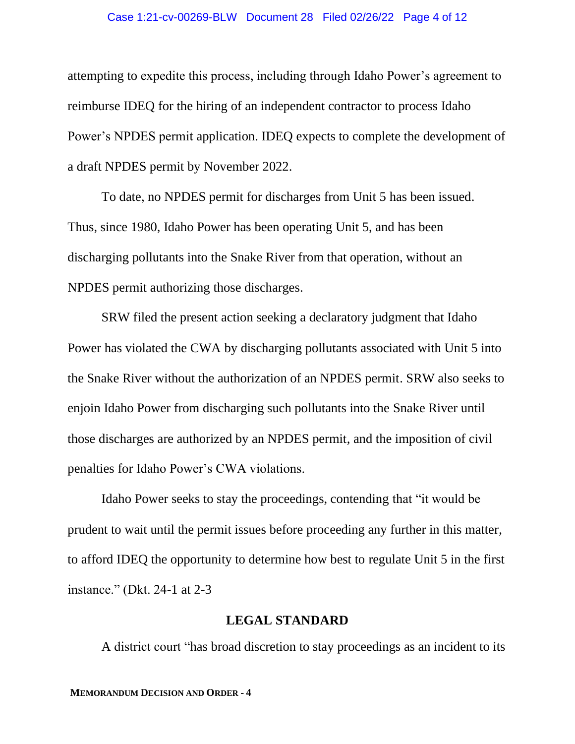#### Case 1:21-cv-00269-BLW Document 28 Filed 02/26/22 Page 4 of 12

attempting to expedite this process, including through Idaho Power's agreement to reimburse IDEQ for the hiring of an independent contractor to process Idaho Power's NPDES permit application. IDEQ expects to complete the development of a draft NPDES permit by November 2022.

To date, no NPDES permit for discharges from Unit 5 has been issued. Thus, since 1980, Idaho Power has been operating Unit 5, and has been discharging pollutants into the Snake River from that operation, without an NPDES permit authorizing those discharges.

SRW filed the present action seeking a declaratory judgment that Idaho Power has violated the CWA by discharging pollutants associated with Unit 5 into the Snake River without the authorization of an NPDES permit. SRW also seeks to enjoin Idaho Power from discharging such pollutants into the Snake River until those discharges are authorized by an NPDES permit, and the imposition of civil penalties for Idaho Power's CWA violations.

Idaho Power seeks to stay the proceedings, contending that "it would be prudent to wait until the permit issues before proceeding any further in this matter, to afford IDEQ the opportunity to determine how best to regulate Unit 5 in the first instance." (Dkt. 24-1 at 2-3

### **LEGAL STANDARD**

A district court "has broad discretion to stay proceedings as an incident to its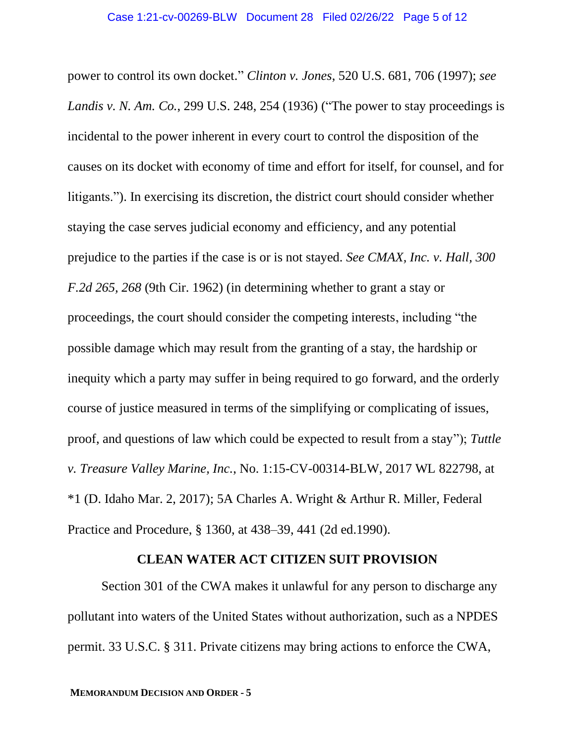power to control its own docket." *Clinton v. Jones*, 520 U.S. 681, 706 (1997); *see Landis v. N. Am. Co.*, 299 U.S. 248, 254 (1936) ("The power to stay proceedings is incidental to the power inherent in every court to control the disposition of the causes on its docket with economy of time and effort for itself, for counsel, and for litigants."). In exercising its discretion, the district court should consider whether staying the case serves judicial economy and efficiency, and any potential prejudice to the parties if the case is or is not stayed. *See CMAX, Inc. v. Hall, 300 F.2d 265, 268* (9th Cir. 1962) (in determining whether to grant a stay or proceedings, the court should consider the competing interests, including "the possible damage which may result from the granting of a stay, the hardship or inequity which a party may suffer in being required to go forward, and the orderly course of justice measured in terms of the simplifying or complicating of issues, proof, and questions of law which could be expected to result from a stay"); *Tuttle v. Treasure Valley Marine, Inc.*, No. 1:15-CV-00314-BLW, 2017 WL 822798, at \*1 (D. Idaho Mar. 2, 2017); 5A Charles A. Wright & Arthur R. Miller, Federal Practice and Procedure, § 1360, at 438–39, 441 (2d ed.1990).

### **CLEAN WATER ACT CITIZEN SUIT PROVISION**

Section 301 of the CWA makes it unlawful for any person to discharge any pollutant into waters of the United States without authorization, such as a NPDES permit. 33 U.S.C. § 311. Private citizens may bring actions to enforce the CWA,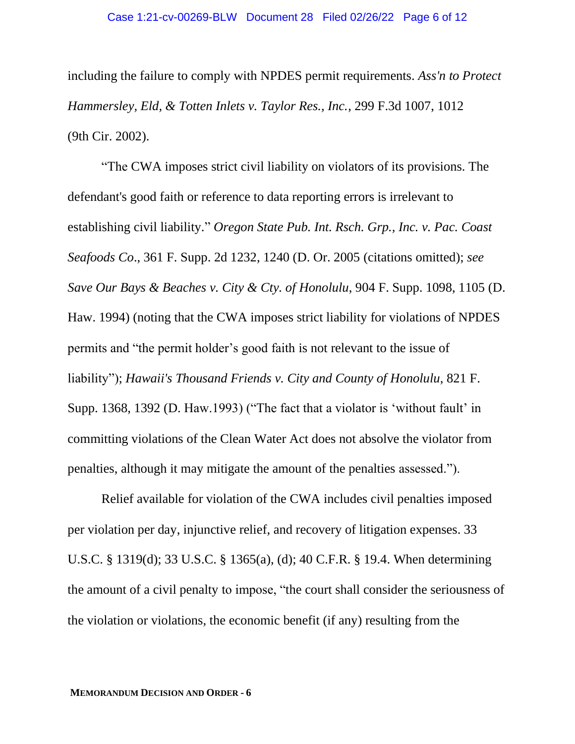including the failure to comply with NPDES permit requirements. *Ass'n to Protect Hammersley, Eld, & Totten Inlets v. Taylor Res., Inc.*, 299 F.3d 1007, 1012 (9th Cir. 2002).

"The CWA imposes strict civil liability on violators of its provisions. The defendant's good faith or reference to data reporting errors is irrelevant to establishing civil liability." *Oregon State Pub. Int. Rsch. Grp., Inc. v. Pac. Coast Seafoods Co*., 361 F. Supp. 2d 1232, 1240 (D. Or. 2005 (citations omitted); *see Save Our Bays & Beaches v. City & Cty. of Honolulu*, 904 F. Supp. 1098, 1105 (D. Haw. 1994) (noting that the CWA imposes strict liability for violations of NPDES permits and "the permit holder's good faith is not relevant to the issue of liability"); *Hawaii's Thousand Friends v. City and County of Honolulu*, 821 F. Supp. 1368, 1392 (D. Haw.1993) ("The fact that a violator is 'without fault' in committing violations of the Clean Water Act does not absolve the violator from penalties, although it may mitigate the amount of the penalties assessed.").

Relief available for violation of the CWA includes civil penalties imposed per violation per day, injunctive relief, and recovery of litigation expenses. 33 U.S.C. § 1319(d); 33 U.S.C. § 1365(a), (d); 40 C.F.R. § 19.4. When determining the amount of a civil penalty to impose, "the court shall consider the seriousness of the violation or violations, the economic benefit (if any) resulting from the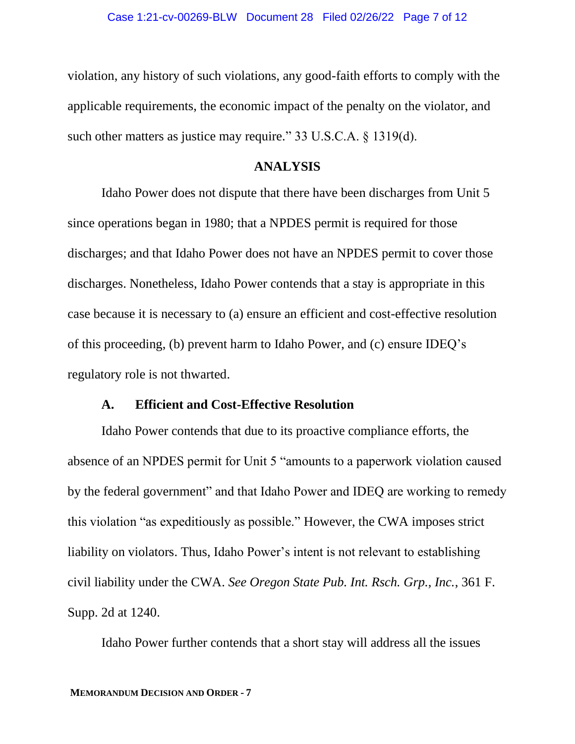violation, any history of such violations, any good-faith efforts to comply with the applicable requirements, the economic impact of the penalty on the violator, and such other matters as justice may require." 33 U.S.C.A. § 1319(d).

#### **ANALYSIS**

Idaho Power does not dispute that there have been discharges from Unit 5 since operations began in 1980; that a NPDES permit is required for those discharges; and that Idaho Power does not have an NPDES permit to cover those discharges. Nonetheless, Idaho Power contends that a stay is appropriate in this case because it is necessary to (a) ensure an efficient and cost-effective resolution of this proceeding, (b) prevent harm to Idaho Power, and (c) ensure IDEQ's regulatory role is not thwarted.

#### **A. Efficient and Cost-Effective Resolution**

Idaho Power contends that due to its proactive compliance efforts, the absence of an NPDES permit for Unit 5 "amounts to a paperwork violation caused by the federal government" and that Idaho Power and IDEQ are working to remedy this violation "as expeditiously as possible." However, the CWA imposes strict liability on violators. Thus, Idaho Power's intent is not relevant to establishing civil liability under the CWA. *See Oregon State Pub. Int. Rsch. Grp., Inc.*, 361 F. Supp. 2d at 1240.

Idaho Power further contends that a short stay will address all the issues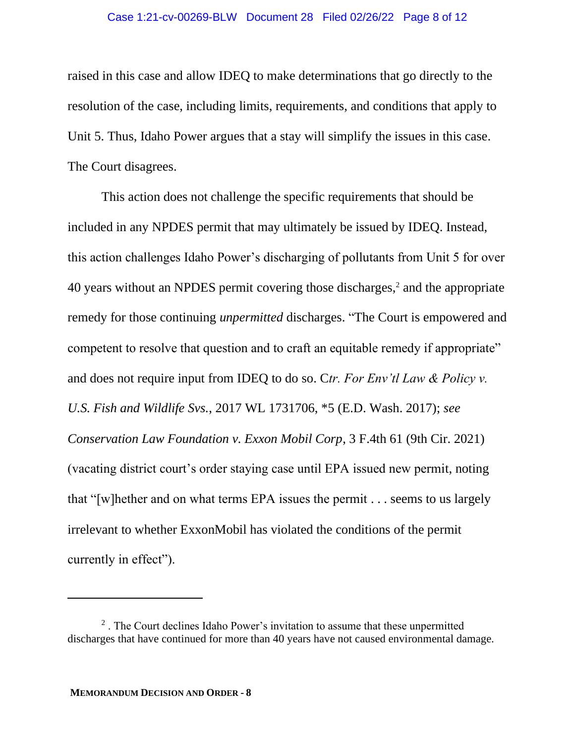#### Case 1:21-cv-00269-BLW Document 28 Filed 02/26/22 Page 8 of 12

raised in this case and allow IDEQ to make determinations that go directly to the resolution of the case, including limits, requirements, and conditions that apply to Unit 5. Thus, Idaho Power argues that a stay will simplify the issues in this case. The Court disagrees.

This action does not challenge the specific requirements that should be included in any NPDES permit that may ultimately be issued by IDEQ. Instead, this action challenges Idaho Power's discharging of pollutants from Unit 5 for over 40 years without an NPDES permit covering those discharges,<sup>2</sup> and the appropriate remedy for those continuing *unpermitted* discharges. "The Court is empowered and competent to resolve that question and to craft an equitable remedy if appropriate" and does not require input from IDEQ to do so. C*tr. For Env'tl Law & Policy v. U.S. Fish and Wildlife Svs.*, 2017 WL 1731706, \*5 (E.D. Wash. 2017); *see Conservation Law Foundation v. Exxon Mobil Corp*, 3 F.4th 61 (9th Cir. 2021) (vacating district court's order staying case until EPA issued new permit, noting that "[w]hether and on what terms EPA issues the permit . . . seems to us largely irrelevant to whether ExxonMobil has violated the conditions of the permit currently in effect").

 $2$ . The Court declines Idaho Power's invitation to assume that these unpermitted discharges that have continued for more than 40 years have not caused environmental damage.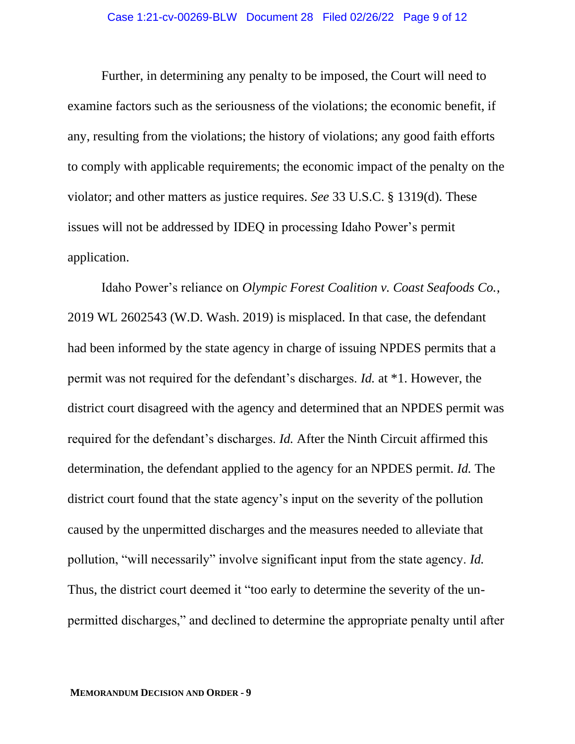Further, in determining any penalty to be imposed, the Court will need to examine factors such as the seriousness of the violations; the economic benefit, if any, resulting from the violations; the history of violations; any good faith efforts to comply with applicable requirements; the economic impact of the penalty on the violator; and other matters as justice requires. *See* 33 U.S.C. § 1319(d). These issues will not be addressed by IDEQ in processing Idaho Power's permit application.

Idaho Power's reliance on *Olympic Forest Coalition v. Coast Seafoods Co.*, 2019 WL 2602543 (W.D. Wash. 2019) is misplaced. In that case, the defendant had been informed by the state agency in charge of issuing NPDES permits that a permit was not required for the defendant's discharges. *Id.* at \*1. However, the district court disagreed with the agency and determined that an NPDES permit was required for the defendant's discharges. *Id.* After the Ninth Circuit affirmed this determination, the defendant applied to the agency for an NPDES permit. *Id.* The district court found that the state agency's input on the severity of the pollution caused by the unpermitted discharges and the measures needed to alleviate that pollution, "will necessarily" involve significant input from the state agency. *Id.* Thus, the district court deemed it "too early to determine the severity of the unpermitted discharges," and declined to determine the appropriate penalty until after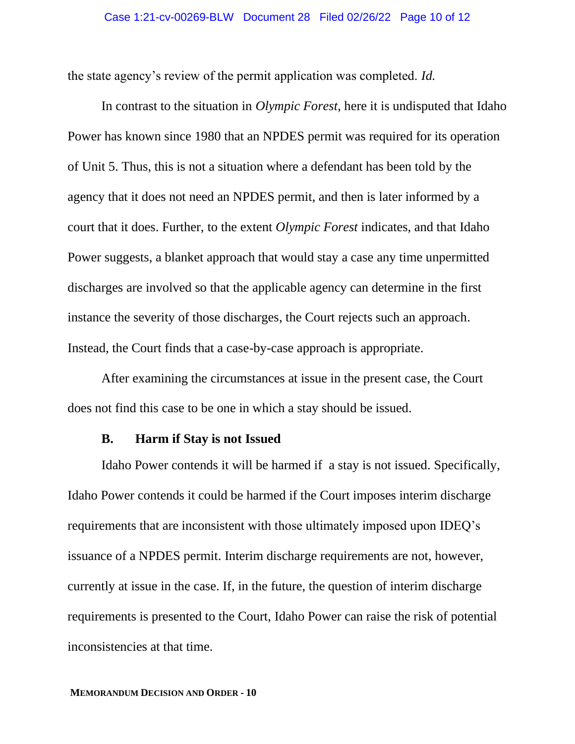the state agency's review of the permit application was completed. *Id.*

In contrast to the situation in *Olympic Forest*, here it is undisputed that Idaho Power has known since 1980 that an NPDES permit was required for its operation of Unit 5. Thus, this is not a situation where a defendant has been told by the agency that it does not need an NPDES permit, and then is later informed by a court that it does. Further, to the extent *Olympic Forest* indicates, and that Idaho Power suggests, a blanket approach that would stay a case any time unpermitted discharges are involved so that the applicable agency can determine in the first instance the severity of those discharges, the Court rejects such an approach. Instead, the Court finds that a case-by-case approach is appropriate.

After examining the circumstances at issue in the present case, the Court does not find this case to be one in which a stay should be issued.

#### **B. Harm if Stay is not Issued**

Idaho Power contends it will be harmed if a stay is not issued. Specifically, Idaho Power contends it could be harmed if the Court imposes interim discharge requirements that are inconsistent with those ultimately imposed upon IDEQ's issuance of a NPDES permit. Interim discharge requirements are not, however, currently at issue in the case. If, in the future, the question of interim discharge requirements is presented to the Court, Idaho Power can raise the risk of potential inconsistencies at that time.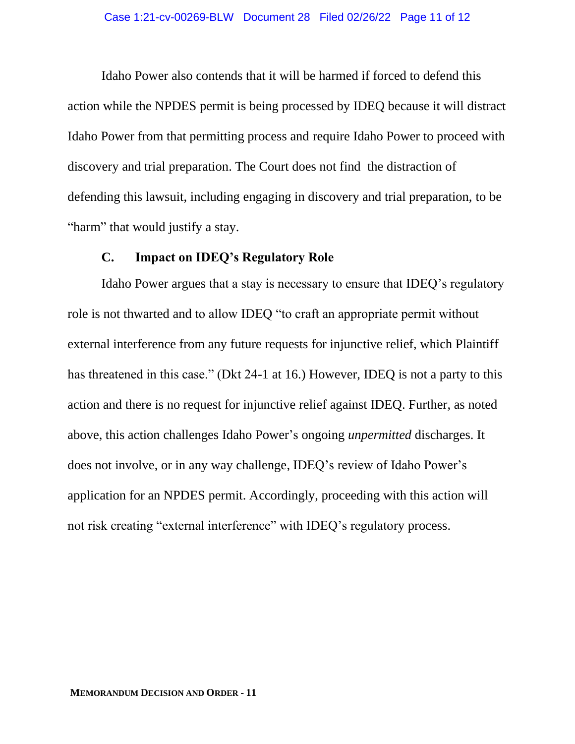Idaho Power also contends that it will be harmed if forced to defend this action while the NPDES permit is being processed by IDEQ because it will distract Idaho Power from that permitting process and require Idaho Power to proceed with discovery and trial preparation. The Court does not find the distraction of defending this lawsuit, including engaging in discovery and trial preparation, to be "harm" that would justify a stay.

## **C. Impact on IDEQ's Regulatory Role**

Idaho Power argues that a stay is necessary to ensure that IDEQ's regulatory role is not thwarted and to allow IDEQ "to craft an appropriate permit without external interference from any future requests for injunctive relief, which Plaintiff has threatened in this case." (Dkt 24-1 at 16.) However, IDEQ is not a party to this action and there is no request for injunctive relief against IDEQ. Further, as noted above, this action challenges Idaho Power's ongoing *unpermitted* discharges. It does not involve, or in any way challenge, IDEQ's review of Idaho Power's application for an NPDES permit. Accordingly, proceeding with this action will not risk creating "external interference" with IDEQ's regulatory process.